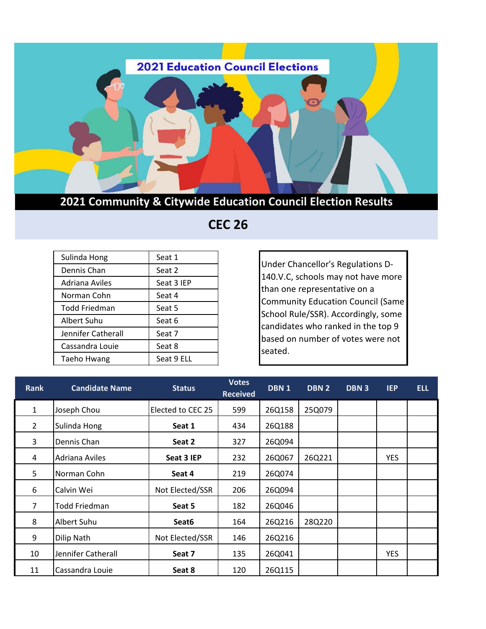

## **2021 Community & Citywide Education Council Election Results**

## **CEC 26**

| Sulinda Hong       | Seat 1     |
|--------------------|------------|
| Dennis Chan        | Seat 2     |
| Adriana Aviles     | Seat 3 IEP |
| Norman Cohn        | Seat 4     |
| Todd Friedman      | Seat 5     |
| Albert Suhu        | Seat 6     |
| Jennifer Catherall | Seat 7     |
| Cassandra Louie    | Seat 8     |
| Taeho Hwang        | Seat 9 ELL |

Under Chancellor's Regulations D-140.V.C, schools may not have more than one representative on a Community Education Council (Same School Rule/SSR). Accordingly, some candidates who ranked in the top 9 based on number of votes were not seated.

| <b>Rank</b>    | <b>Candidate Name</b> | <b>Status</b>     | <b>Votes</b><br><b>Received</b> | DBN <sub>1</sub> | DBN2   | DBN 3 | <b>IEP</b> | <b>ELL</b> |
|----------------|-----------------------|-------------------|---------------------------------|------------------|--------|-------|------------|------------|
| $\mathbf{1}$   | Joseph Chou           | Elected to CEC 25 | 599                             | 26Q158           | 25Q079 |       |            |            |
| $\overline{2}$ | Sulinda Hong          | Seat 1            | 434                             | 26Q188           |        |       |            |            |
| 3              | Dennis Chan           | Seat 2            | 327                             | 26Q094           |        |       |            |            |
| 4              | Adriana Aviles        | Seat 3 IEP        | 232                             | 26Q067           | 26Q221 |       | <b>YES</b> |            |
| 5              | Norman Cohn           | Seat 4            | 219                             | 26Q074           |        |       |            |            |
| 6              | Calvin Wei            | Not Elected/SSR   | 206                             | 26Q094           |        |       |            |            |
| 7              | <b>Todd Friedman</b>  | Seat 5            | 182                             | 26Q046           |        |       |            |            |
| 8              | Albert Suhu           | Seat <sub>6</sub> | 164                             | 26Q216           | 28Q220 |       |            |            |
| 9              | Dilip Nath            | Not Elected/SSR   | 146                             | 26Q216           |        |       |            |            |
| 10             | Jennifer Catherall    | Seat 7            | 135                             | 26Q041           |        |       | <b>YES</b> |            |
| 11             | Cassandra Louie       | Seat 8            | 120                             | 26Q115           |        |       |            |            |